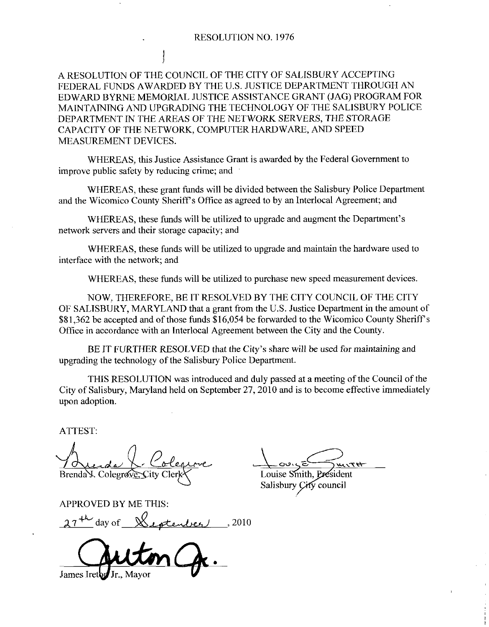A RESOLUTION OF THE COUNCIL OF THE CITY OF SALISBURY ACCEPTING FEDERAL FUNDS AWARDED BY THE U.S. JUSTICE DEPARTMENT THROUGH AN EDWARD BYRNE MEMORIAL JUSTICE ASSISTANCE GRANT (JAG) PROGRAM FOR MAINTAINING AND UPGRADING THE TECHNOLOGY OF THE SALISBURY POLICE DEPARTMENT IN THE AREAS OF THE NETWORK SERVERS THE STORAGE CAPACITY OF THE NETWORK, COMPUTER HARDWARE, AND SPEED MEASUREMENT DEVICES

WHEREAS, this Justice Assistance Grant is awarded by the Federal Government to improve public safety by reducing crime; and Trail Government<br>
ury Police Depart<br>
Agreement; and<br>
the Department's

WHEREAS, these grant funds will be divided between the Salisbury Police Department and the Wicomico County Sheriff's Office as agreed to by an Interlocal Agreement; and

WHEREAS, these funds will be utilized to upgrade and augment the Department's network servers and their storage capacity; and

WHEREAS, these funds will be utilized to upgrade and maintain the hardware used to interface with the network; and

WHEREAS, these funds will be utilized to purchase new speed measurement devices.

NOW, THEREFORE, BE IT RESOLVED BY THE CITY COUNCIL OF THE CITY NOW, THEREFORE, BE IT RESOLVED BY THE CITY COUNCIL OF THE CITY<br>OF SALISBURY, MARYLAND that a grant from the U.S. Justice Department in the amount of OF SALISBURY, MARYLAND that a grant from the U.S. Justice Department in the amount of \$81,362 be accepted and of those funds \$16,054 be forwarded to the Wicomico County Sheriff's Office in assassment in the Interlocal Agre Office in accordance with an Interlocal Agreement between the City and the County \$81,362 be accepted and of those funds \$16,054 be forwarded to the Wicomico County Sheriff's Office in accordance with an Interlocal Agreement between the City and the County.<br>BE IT FURTHER RESOLVED that the City's share w

upgrading the technology of the Salisbury Police Department

THIS RESOLUTION was introduced and duly passed at ameeting of the Council of the City of Salisbury, Maryland held on September 27, 2010 and is to become effective immediately upon adoption

ATTEST

Polegre Brenda V. Colegrove, City Arrest:<br>Auda L. Colegrove<br>Brendas. Colegrove. Sity Clerk<br>APPROVED BY ME THIS:<br>27<sup>+1</sup> day of Suptember 1,2010

APPROVED BY ME THIS:

James Iret

<u>صرح</u> <u>valent</u><br>dent Louise Smith

Salisbury *Çi*fy council